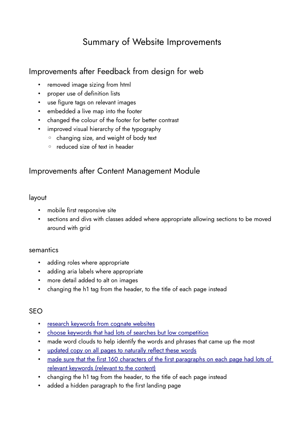# Summary of Website Improvements

# Improvements after Feedback from design for web

- removed image sizing from html
- proper use of definition lists
- use figure tags on relevant images
- embedded a live map into the footer
- changed the colour of the footer for better contrast
- improved visual hierarchy of the typography
	- changing size, and weight of body text
	- reduced size of text in header

## Improvements after Content Management Module

### layout

- mobile first responsive site
- sections and divs with classes added where appropriate allowing sections to be moved around with grid

#### semantics

- adding roles where appropriate
- adding aria labels where appropriate
- more detail added to alt on images
- changing the h1 tag from the header, to the title of each page instead

### SEO

- • [research keywords from cognate websites](https://whimsical.com/cognate-websites-HrAHRXW9Y9ZLLCpoLFJjDU)
- [choose keywords that had lots of searches but low competition](https://whimsical.com/keywords-RtPcPaAt4pqUZRiFoDEV7Z)
- made word clouds to help identify the words and phrases that came up the most
- [updated copy on all pages to naturally reflect these words](https://whimsical.com/seo-EfyPTPXz76f1eSm6ajh2k3)
- made sure that the first 160 characters of the first paragraphs on each page had lots of [relevant keywords \(relevant to the content\)](https://whimsical.com/1st-paragraphs-UYEihM8UX9HY9LxUYN1uL2)
- changing the h1 tag from the header, to the title of each page instead
- added a hidden paragraph to the first landing page